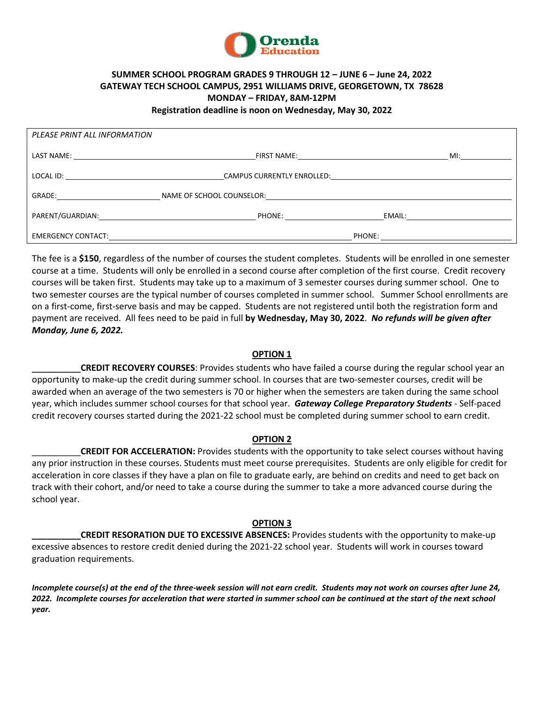

# **SUMMER SCHOOL PROGRAM GRADES 9 THROUGH 12 – JUNE 6 – June 24, 2022 GATEWAY TECH SCHOOL CAMPUS, 2951 WILLIAMS DRIVE, GEORGETOWN, TX 78628 MONDAY – FRIDAY, 8AM-12PM**

**Registration deadline is noon on Wednesday, May 30, 2022**

| PLEASE PRINT ALL INFORMATION |  |  |
|------------------------------|--|--|
|                              |  |  |
|                              |  |  |
|                              |  |  |
|                              |  |  |
|                              |  |  |

The fee is a **\$150**, regardless of the number of courses the student completes. Students will be enrolled in one semester course at a time. Students will only be enrolled in a second course after completion of the first course. Credit recovery courses will be taken first. Students may take up to a maximum of 3 semester courses during summer school. One to two semester courses are the typical number of courses completed in summer school. Summer School enrollments are on a first-come, first-serve basis and may be capped. Students are not registered until both the registration form and payment are received. All fees need to be paid in full **by Wednesday, May 30, 2022**. *No refunds will be given after Monday, June 6, 2022.*

## **OPTION 1**

\_\_\_\_\_\_\_\_\_\_**CREDIT RECOVERY COURSES**: Provides students who have failed a course during the regular school year an opportunity to make-up the credit during summer school. In courses that are two-semester courses, credit will be awarded when an average of the two semesters is 70 or higher when the semesters are taken during the same school year, which includes summer school courses for that school year. *Gateway College Preparatory Students* - Self-paced credit recovery courses started during the 2021-22 school must be completed during summer school to earn credit.

#### **OPTION 2**

\_\_\_\_\_\_\_\_\_\_**CREDIT FOR ACCELERATION:** Provides students with the opportunity to take select courses without having any prior instruction in these courses. Students must meet course prerequisites.Students are only eligible for credit for acceleration in core classes if they have a plan on file to graduate early, are behind on credits and need to get back on track with their cohort, and/or need to take a course during the summer to take a more advanced course during the school year.

#### **OPTION 3**

**CREDIT RESORATION DUE TO EXCESSIVE ABSENCES:** Provides students with the opportunity to make-up excessive absences to restore credit denied during the 2021-22 school year. Students will work in courses toward graduation requirements.

*Incomplete course(s) at the end of the three-week session will not earn credit. Students may not work on courses after June 24, 2022. Incomplete courses for acceleration that were started in summer school can be continued at the start of the next school year.*